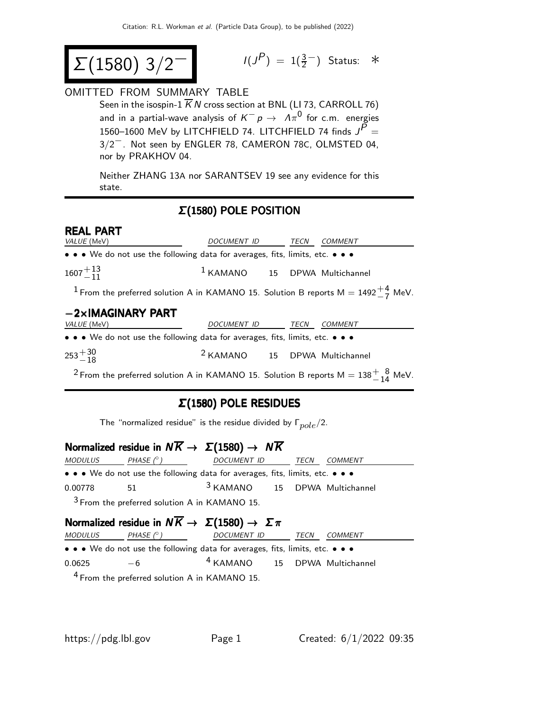$$
\Sigma(1580) 3/2^-
$$

$$
I(J^P) = 1(\frac{3}{2}^-)
$$
 Status: \*

#### OMITTED FROM SUMMARY TABLE

Seen in the isospin-1  $\overline{K}N$  cross section at BNL (LI 73, CARROLL 76) and in a partial-wave analysis of  $\overline{K^-} \rho \rightarrow \ \overline{\Lambda} \pi^0$  for c.m. energies 1560–1600 MeV by LITCHFIELD 74. LITCHFIELD 74 finds  $J^{\bar{P}} =$ 3/2−. Not seen by ENGLER 78, CAMERON 78C, OLMSTED 04, nor by PRAKHOV 04.

Neither ZHANG 13A nor SARANTSEV 19 see any evidence for this state.

## Σ(1580) POLE POSITION

#### **REAL PART**<br>*VALUE* (MeV) DOCUMENT ID TECN COMMENT • • • We do not use the following data for averages, fits, limits, etc. • • •  $1607^{+\, 13}_{-\, 11}$ <sup>1</sup> KAMANO 15 DPWA Multichannel  $^{\displaystyle 1}$  From the preferred solution A in KAMANO 15. Solution B reports M  $=$  1492 $^{+\displaystyle 4}_{-\displaystyle 7}$  MeV. **−2×IMAGINARY PART**<br>VALUE (MeV) DOCUMENT ID TECN COMMENT • • • We do not use the following data for averages, fits, limits, etc. • • •  $\substack{253 + 30 \\ -18}$ <sup>2</sup> KAMANO 15 DPWA Multichannel

 $^2$ From the preferred solution A in KAMANO 15. Solution B reports M  $=138^{+\;\;8}_{-\;14}$  MeV.

## Σ(1580) POLE RESIDUES

|  | The "normalized residue" is the residue divided by $\Gamma_{pole}/2$ . |  |  |  |  |  |  |  |
|--|------------------------------------------------------------------------|--|--|--|--|--|--|--|
|--|------------------------------------------------------------------------|--|--|--|--|--|--|--|

| Normalized residue in $N\overline{K} \to \Sigma(1580) \to N\overline{K}$ |                                                 |                                                                               |      |         |  |  |
|--------------------------------------------------------------------------|-------------------------------------------------|-------------------------------------------------------------------------------|------|---------|--|--|
| MODULUS                                                                  | PHASE ( $^\circ$ )                              | DOCUMENT ID                                                                   | TECN | COMMENT |  |  |
|                                                                          |                                                 | • • • We do not use the following data for averages, fits, limits, etc. • • • |      |         |  |  |
| 0.00778                                                                  | 51                                              | <sup>3</sup> KAMANO 15 DPWA Multichannel                                      |      |         |  |  |
|                                                                          | $3$ From the preferred solution A in KAMANO 15. |                                                                               |      |         |  |  |
|                                                                          | .                                               |                                                                               |      |         |  |  |

#### Normalized residue in  $NK \rightarrow \Sigma(1580) \rightarrow \Sigma \pi$  $MODULUS$  PHASE  $(°)$  DOCUMENT ID TECN COMMENT • • • We do not use the following data for averages, fits, limits, etc. • • •  $0.0625 -6$ 4 KAMANO 15 DPWA Multichannel 4 From the preferred solution A in KAMANO 15.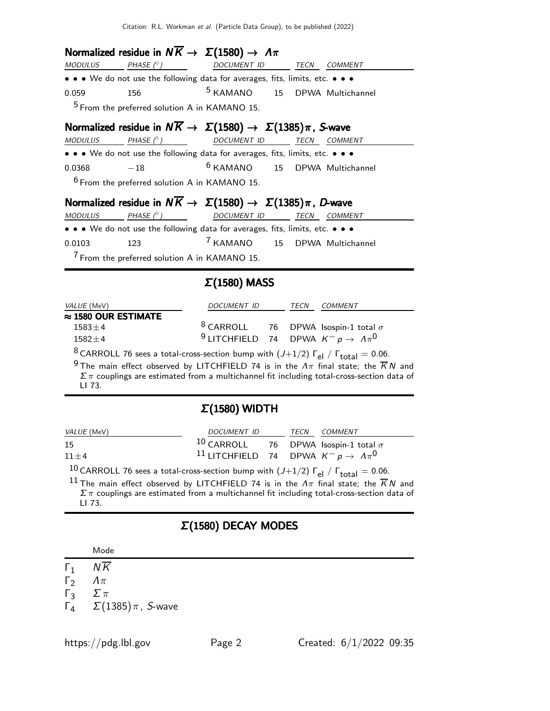Citation: R.L. Workman et al. (Particle Data Group), to be published (2022)

#### Normalized residue in  $N\overline{K} \rightarrow \Sigma(1580) \rightarrow \Lambda \pi$

| <b>MODULUS</b> | PHASE $(^\circ)$ | <i>DOCUMENT ID</i>                                                            | TECN | COMMENT |
|----------------|------------------|-------------------------------------------------------------------------------|------|---------|
|                |                  | • • • We do not use the following data for averages, fits, limits, etc. • • • |      |         |
| 0.059          | 156.             | <sup>5</sup> KAMANO 15 DPWA Multichannel                                      |      |         |
|                |                  | <sup>5</sup> From the preferred solution A in KAMANO 15.                      |      |         |

#### Normalized residue in  $N\overline{K} \to \Sigma(1580) \to \Sigma(1385)\pi$ , S-wave

 $MODULUS$   $PHASE$  ( $\diamond$ )  $DOCUMENT$   $ID$   $TECN$   $COMMENT$ • • • We do not use the following data for averages, fits, limits, etc. • • •  $0.0368$   $-18$  6 KAMANO 15 DPWA Multichannel  $6$  From the preferred solution A in KAMANO 15.

## Normalized residue in  $N\overline{K} \to \Sigma(1580) \to \Sigma(1385)\pi$ , D-wave

| MODULUS | PHASE $(^\circ)$ | <i>DOCUMENT ID</i>                                                            | TECN | <i>COMMENT</i> |  |
|---------|------------------|-------------------------------------------------------------------------------|------|----------------|--|
|         |                  | • • • We do not use the following data for averages, fits, limits, etc. • • • |      |                |  |
| 0.0103  | 123              | <sup>7</sup> KAMANO 15 DPWA Multichannel                                      |      |                |  |
|         |                  | $\frac{7}{1}$ From the preferred solution A in KAMANO 15.                     |      |                |  |

#### Σ(1580) MASS

| <i>VALUE</i> (MeV)          | DOCUMENT ID                                                       | TECN | COMMENT |
|-----------------------------|-------------------------------------------------------------------|------|---------|
| $\approx$ 1580 OUR ESTIMATE |                                                                   |      |         |
| $1583 + 4$                  | <sup>8</sup> CARROLL 76 DPWA Isospin-1 total $\sigma$             |      |         |
| $1582 + 4$                  | <sup>9</sup> LITCHFIELD 74 DPWA $K^- p \rightarrow \Lambda \pi^0$ |      |         |
|                             |                                                                   |      |         |

<sup>8</sup> CARROLL 76 sees a total-cross-section bump with  $(J+1/2)$   $\Gamma_{el}$  /  $\Gamma_{total} = 0.06$ .

<sup>9</sup> The main effect observed by LITCHFIELD 74 is in the  $\Lambda\pi$  final state; the  $\overline{K}N$  and  $\Sigma\,\pi$  couplings are estimated from a multichannel fit including total-cross-section data of LI 73.

#### Σ(1580) WIDTH

| <i>VALUE</i> (MeV) | DOCUMENT ID                                                                                                     |  | TECN COMMENT |
|--------------------|-----------------------------------------------------------------------------------------------------------------|--|--------------|
| 15                 | $10$ CARROLL 76 DPWA Isospin-1 total $\sigma$                                                                   |  |              |
| $11 + 4$           | <sup>11</sup> LITCHFIELD 74 DPWA $K^- p \rightarrow A \pi^0$                                                    |  |              |
| $10^{11}$          | the contract of the contract of the contract of the contract of the contract of the contract of the contract of |  |              |

<sup>10</sup> CARROLL 76 sees a total-cross-section bump with  $(J+1/2)$   $\Gamma_{el}$  /  $\Gamma_{total}$  = 0.06.

<sup>11</sup> The main effect observed by LITCHFIELD 74 is in the  $\Lambda\pi$  final state; the  $\overline{K}N$  and  $\Sigma \pi$  couplings are estimated from a multichannel fit including total-cross-section data of LI 73.

#### Σ(1580) DECAY MODES

| Mode |
|------|
|------|

 $Γ_1$   $N\overline{K}$ 

 $Γ_2$   $Λπ$ <br> $Γ_3$   $Σπ$ 

 $Γ_3$   $Σπ$ <br> $Γ_4$   $Σ(1)$  $\Sigma(1385)\pi$ , S-wave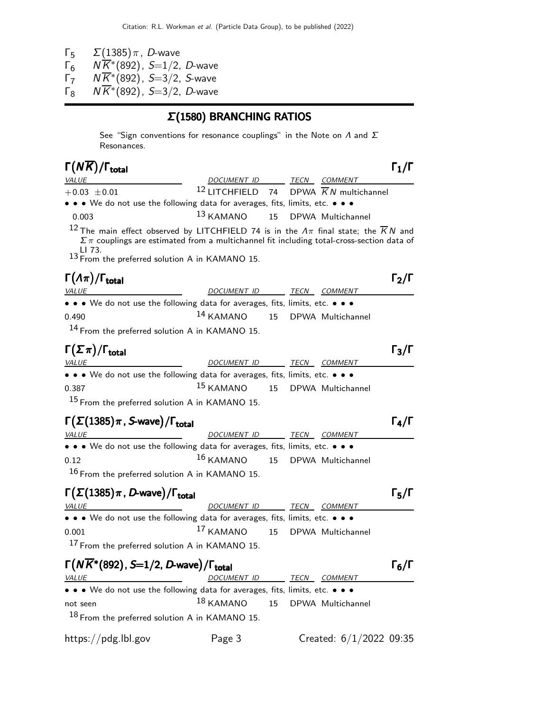- 
- Γ<sub>5</sub> Σ(1385) π, D-wave<br>Γ<sub>6</sub> Ν $\overline{K}^*(892)$ , S=1/2,  $\overline{\mathsf{r}_6}$   $N\overline{\mathsf{K}}^*(892)$ , S=1/2, D-wave
- Γ΄,  $N\overline{K}^*(892)$ , S=3/2, S-wave
- $\Gamma_8$  N $\overline{K}^*(892)$ , S=3/2, D-wave

## Σ(1580) BRANCHING RATIOS

See "Sign conventions for resonance couplings" in the Note on  $\Lambda$  and  $\Sigma$ Resonances.

| $\Gamma(N\overline{K})/\Gamma_{\rm total}$                                                                                                                                                                                                                                                        |                                                    |      |                |                   |
|---------------------------------------------------------------------------------------------------------------------------------------------------------------------------------------------------------------------------------------------------------------------------------------------------|----------------------------------------------------|------|----------------|-------------------|
| <b>VALUE</b>                                                                                                                                                                                                                                                                                      | DOCUMENT ID TECN COMMENT                           |      |                |                   |
| $+0.03 \pm 0.01$                                                                                                                                                                                                                                                                                  | 12 LITCHFIELD 74 DPWA $\overline{K}N$ multichannel |      |                |                   |
| • • • We do not use the following data for averages, fits, limits, etc. • • •                                                                                                                                                                                                                     |                                                    |      |                |                   |
| 0.003                                                                                                                                                                                                                                                                                             | 13 KAMANO 15 DPWA Multichannel                     |      |                |                   |
| <sup>12</sup> The main effect observed by LITCHFIELD 74 is in the $\Lambda \pi$ final state; the $\overline{K}N$ and<br>$\Sigma \pi$ couplings are estimated from a multichannel fit including total-cross-section data of<br>LI 73.<br><sup>13</sup> From the preferred solution A in KAMANO 15. |                                                    |      |                |                   |
| $\Gamma(\Lambda \pi)/\Gamma_{\rm total}$                                                                                                                                                                                                                                                          |                                                    |      |                | $\Gamma_2/\Gamma$ |
| VALUE                                                                                                                                                                                                                                                                                             | DOCUMENT ID                                        | TECN | <b>COMMENT</b> |                   |
| • • • We do not use the following data for averages, fits, limits, etc. • • •                                                                                                                                                                                                                     |                                                    |      |                |                   |
| 0.490                                                                                                                                                                                                                                                                                             | 14 KAMANO 15 DPWA Multichannel                     |      |                |                   |
| <sup>14</sup> From the preferred solution A in KAMANO 15.                                                                                                                                                                                                                                         |                                                    |      |                |                   |
| $\Gamma(\Sigma \pi)/\Gamma_{\rm total}$                                                                                                                                                                                                                                                           |                                                    |      |                |                   |

| $\sqrt{1 + 2}$                                                                |                                           |  |              | . . |
|-------------------------------------------------------------------------------|-------------------------------------------|--|--------------|-----|
| <i>VALUE</i>                                                                  | <i>DOCUMENT ID</i>                        |  | TECN COMMENT |     |
| • • • We do not use the following data for averages, fits, limits, etc. • • • |                                           |  |              |     |
| 0.387                                                                         | <sup>15</sup> KAMANO 15 DPWA Multichannel |  |              |     |
| <sup>15</sup> From the preferred solution A in KAMANO 15.                     |                                           |  |              |     |

# $\Gamma(\Sigma(1385)\pi$ , S-wave)/ $\Gamma_{\text{total}}$  (π

| <i>VALUE</i>                                                                  | DOCUMENT ID                               | TECN | <i>COMMENT</i> |
|-------------------------------------------------------------------------------|-------------------------------------------|------|----------------|
| • • • We do not use the following data for averages, fits, limits, etc. • • • |                                           |      |                |
| 0.12                                                                          | <sup>16</sup> KAMANO 15 DPWA Multichannel |      |                |
| $16$ From the preferred solution A in KAMANO 15.                              |                                           |      |                |

#### $\Gamma(\Sigma(1385)\pi, D\text{-wave})/\Gamma_{\text{total}}$  Γ<sub>5</sub>/Γ total and  $\overline{5}/1$

| <i>VALUE</i>                                                                                                          | DOCUMENT ID                               |  | <i>TECN COMMENT</i> |
|-----------------------------------------------------------------------------------------------------------------------|-------------------------------------------|--|---------------------|
| $\bullet \bullet \bullet$ We do not use the following data for averages, fits, limits, etc. $\bullet \bullet \bullet$ |                                           |  |                     |
| 0.001                                                                                                                 | <sup>17</sup> KAMANO 15 DPWA Multichannel |  |                     |
| <sup>17</sup> From the preferred solution A in KAMANO 15.                                                             |                                           |  |                     |

| $\Gamma(N\overline{K}$ *(892), S=1/2, D-wave)/ $\Gamma_{\rm total}$           |                                           |      |                           | $\Gamma_6/\Gamma$ |
|-------------------------------------------------------------------------------|-------------------------------------------|------|---------------------------|-------------------|
| <i>VALUE</i>                                                                  | DOCUMENT ID                               | TECN | COMMENT                   |                   |
| • • • We do not use the following data for averages, fits, limits, etc. • • • |                                           |      |                           |                   |
| not seen                                                                      | <sup>18</sup> KAMANO 15 DPWA Multichannel |      |                           |                   |
| 18 From the preferred solution A in KAMANO 15.                                |                                           |      |                           |                   |
| https://pdg.lbl.gov                                                           | Page 3                                    |      | Created: $6/1/2022$ 09:35 |                   |